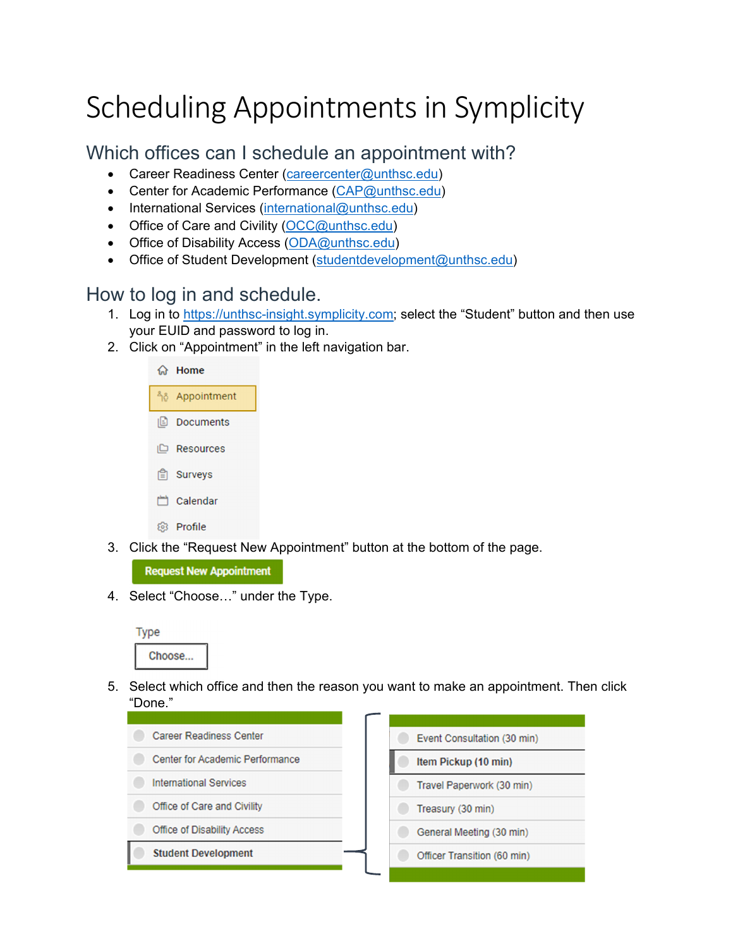## Scheduling Appointments in Symplicity

## Which offices can I schedule an appointment with?

- Career Readiness Center (careercenter@unthsc.edu)
- Center for Academic Performance (CAP@unthsc.edu)
- International Services (international@unthsc.edu)
- Office of Care and Civility  $(OCC@unthsc.edu)$
- Office of Disability Access (ODA@unthsc.edu)
- Office of Student Development (studentdevelopment@unthsc.edu)

## How to log in and schedule.

- 1. Log in to https://unthsc-insight.symplicity.com; select the "Student" button and then use your EUID and password to log in.
- 2. Click on "Appointment" in the left navigation bar.



3. Click the "Request New Appointment" button at the bottom of the page.

**Request New Appointment** 

4. Select "Choose…" under the Type.



5. Select which office and then the reason you want to make an appointment. Then click "Done."